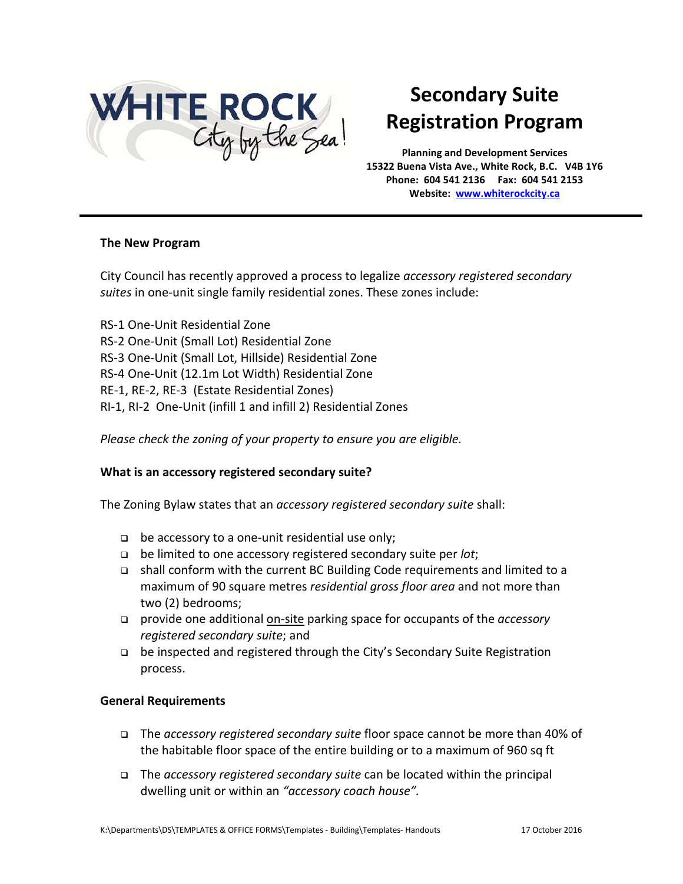

# **Secondary Suite Registration Program**

**Planning and Development Services 15322 Buena Vista Ave., White Rock, B.C. V4B 1Y6 Phone: 604 541 2136 Fax: 604 541 2153 Website: [www.whiterockcity.ca](http://www.whiterockcity.ca/)**

# **The New Program**

City Council has recently approved a process to legalize *accessory registered secondary suites* in one-unit single family residential zones. These zones include:

RS-1 One-Unit Residential Zone RS-2 One-Unit (Small Lot) Residential Zone RS-3 One-Unit (Small Lot, Hillside) Residential Zone RS-4 One-Unit (12.1m Lot Width) Residential Zone RE-1, RE-2, RE-3 (Estate Residential Zones) RI-1, RI-2 One-Unit (infill 1 and infill 2) Residential Zones

*Please check the zoning of your property to ensure you are eligible.*

# **What is an accessory registered secondary suite?**

The Zoning Bylaw states that an *accessory registered secondary suite* shall:

- $\Box$  be accessory to a one-unit residential use only;
- be limited to one accessory registered secondary suite per *lot*;
- □ shall conform with the current BC Building Code requirements and limited to a maximum of 90 square metres *residential gross floor area* and not more than two (2) bedrooms;
- provide one additional on-site parking space for occupants of the *accessory registered secondary suite*; and
- be inspected and registered through the City's Secondary Suite Registration process.

# **General Requirements**

- The *accessory registered secondary suite* floor space cannot be more than 40% of the habitable floor space of the entire building or to a maximum of 960 sq ft
- The *accessory registered secondary suite* can be located within the principal dwelling unit or within an *"accessory coach house".*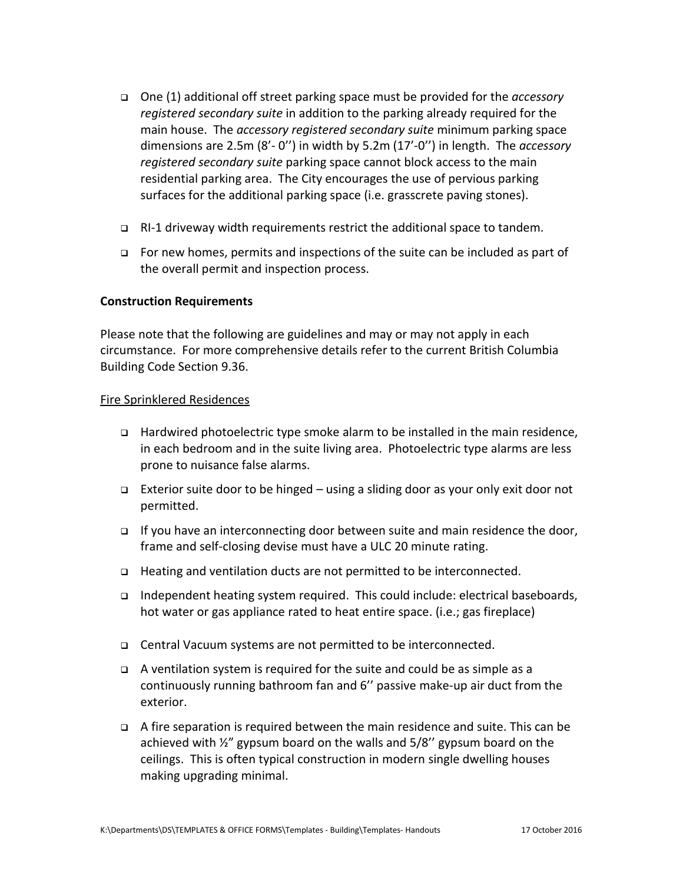- One (1) additional off street parking space must be provided for the *accessory registered secondary suite* in addition to the parking already required for the main house. The *accessory registered secondary suite* minimum parking space dimensions are 2.5m (8'- 0'') in width by 5.2m (17'-0'') in length. The *accessory registered secondary suite* parking space cannot block access to the main residential parking area. The City encourages the use of pervious parking surfaces for the additional parking space (i.e. grasscrete paving stones).
- RI-1 driveway width requirements restrict the additional space to tandem.
- For new homes, permits and inspections of the suite can be included as part of the overall permit and inspection process.

#### **Construction Requirements**

Please note that the following are guidelines and may or may not apply in each circumstance. For more comprehensive details refer to the current British Columbia Building Code Section 9.36.

#### Fire Sprinklered Residences

- $\Box$  Hardwired photoelectric type smoke alarm to be installed in the main residence, in each bedroom and in the suite living area. Photoelectric type alarms are less prone to nuisance false alarms.
- Exterior suite door to be hinged using a sliding door as your only exit door not permitted.
- If you have an interconnecting door between suite and main residence the door, frame and self-closing devise must have a ULC 20 minute rating.
- □ Heating and ventilation ducts are not permitted to be interconnected.
- Independent heating system required. This could include: electrical baseboards, hot water or gas appliance rated to heat entire space. (i.e.; gas fireplace)
- Central Vacuum systems are not permitted to be interconnected.
- $\Box$  A ventilation system is required for the suite and could be as simple as a continuously running bathroom fan and 6'' passive make-up air duct from the exterior.
- A fire separation is required between the main residence and suite. This can be achieved with ½" gypsum board on the walls and 5/8'' gypsum board on the ceilings. This is often typical construction in modern single dwelling houses making upgrading minimal.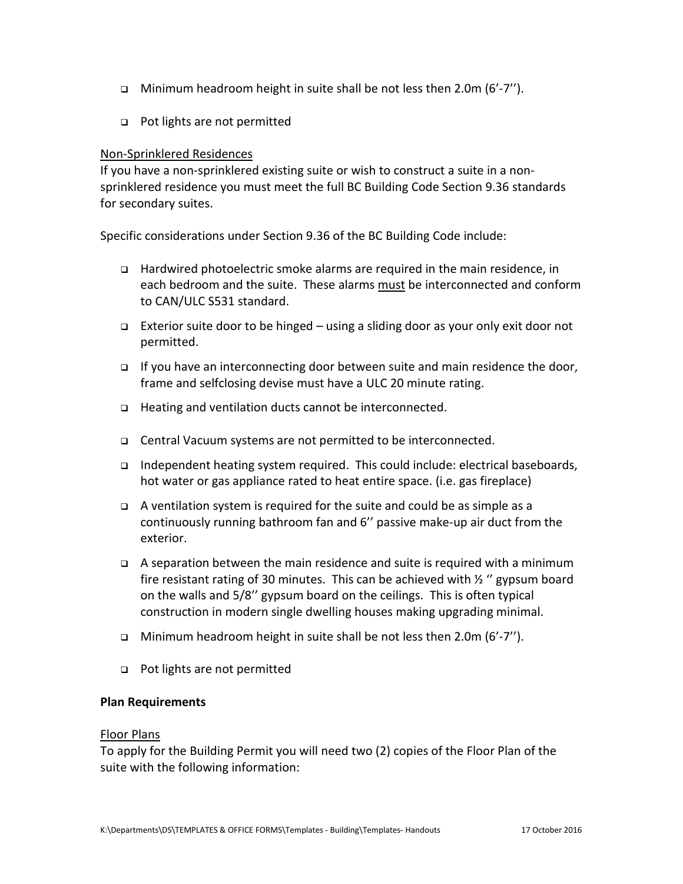- **IMinimum headroom height in suite shall be not less then 2.0m (6'-7'').**
- □ Pot lights are not permitted

# Non-Sprinklered Residences

If you have a non-sprinklered existing suite or wish to construct a suite in a nonsprinklered residence you must meet the full BC Building Code Section 9.36 standards for secondary suites.

Specific considerations under Section 9.36 of the BC Building Code include:

- Hardwired photoelectric smoke alarms are required in the main residence, in each bedroom and the suite. These alarms must be interconnected and conform to CAN/ULC S531 standard.
- Exterior suite door to be hinged using a sliding door as your only exit door not permitted.
- $\Box$  If you have an interconnecting door between suite and main residence the door, frame and selfclosing devise must have a ULC 20 minute rating.
- □ Heating and ventilation ducts cannot be interconnected.
- Central Vacuum systems are not permitted to be interconnected.
- Independent heating system required. This could include: electrical baseboards, hot water or gas appliance rated to heat entire space. (i.e. gas fireplace)
- A ventilation system is required for the suite and could be as simple as a continuously running bathroom fan and 6'' passive make-up air duct from the exterior.
- $\Box$  A separation between the main residence and suite is required with a minimum fire resistant rating of 30 minutes. This can be achieved with  $\frac{1}{2}$  " gypsum board on the walls and 5/8'' gypsum board on the ceilings. This is often typical construction in modern single dwelling houses making upgrading minimal.
- **IMinimum headroom height in suite shall be not less then 2.0m (6'-7'').**
- □ Pot lights are not permitted

# **Plan Requirements**

#### Floor Plans

To apply for the Building Permit you will need two (2) copies of the Floor Plan of the suite with the following information: